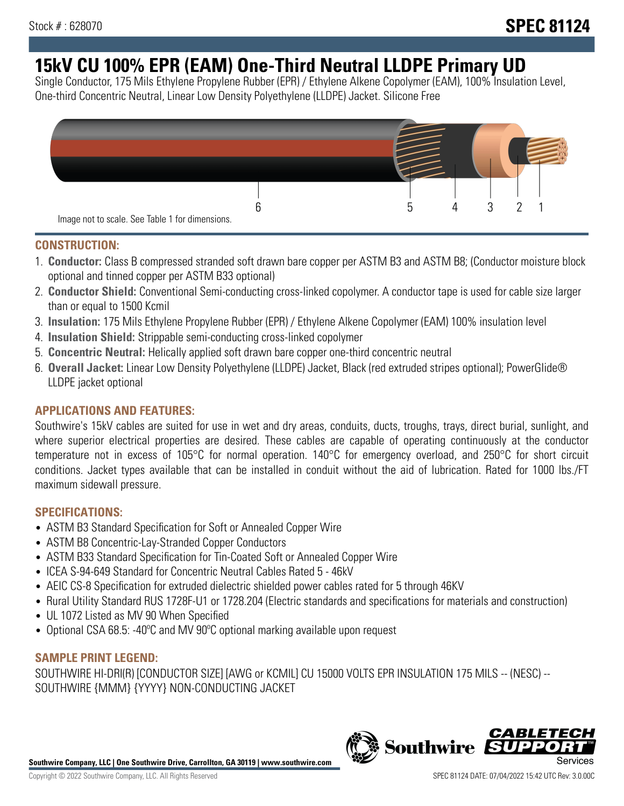# **15kV CU 100% EPR (EAM) One-Third Neutral LLDPE Primary UD**

Single Conductor, 175 Mils Ethylene Propylene Rubber (EPR) / Ethylene Alkene Copolymer (EAM), 100% Insulation Level, One-third Concentric Neutral, Linear Low Density Polyethylene (LLDPE) Jacket. Silicone Free



### **CONSTRUCTION:**

- 1. **Conductor:** Class B compressed stranded soft drawn bare copper per ASTM B3 and ASTM B8; (Conductor moisture block optional and tinned copper per ASTM B33 optional)
- 2. **Conductor Shield:** Conventional Semi-conducting cross-linked copolymer. A conductor tape is used for cable size larger than or equal to 1500 Kcmil
- 3. **Insulation:** 175 Mils Ethylene Propylene Rubber (EPR) / Ethylene Alkene Copolymer (EAM) 100% insulation level
- 4. **Insulation Shield:** Strippable semi-conducting cross-linked copolymer
- 5. **Concentric Neutral:** Helically applied soft drawn bare copper one-third concentric neutral
- 6. **Overall Jacket:** Linear Low Density Polyethylene (LLDPE) Jacket, Black (red extruded stripes optional); PowerGlide® LLDPE jacket optional

### **APPLICATIONS AND FEATURES:**

Southwire's 15kV cables are suited for use in wet and dry areas, conduits, ducts, troughs, trays, direct burial, sunlight, and where superior electrical properties are desired. These cables are capable of operating continuously at the conductor temperature not in excess of 105°C for normal operation. 140°C for emergency overload, and 250°C for short circuit conditions. Jacket types available that can be installed in conduit without the aid of lubrication. Rated for 1000 lbs./FT maximum sidewall pressure.

### **SPECIFICATIONS:**

- ASTM B3 Standard Specification for Soft or Annealed Copper Wire
- ASTM B8 Concentric-Lay-Stranded Copper Conductors
- ASTM B33 Standard Specification for Tin-Coated Soft or Annealed Copper Wire
- ICEA S-94-649 Standard for Concentric Neutral Cables Rated 5 46kV
- AEIC CS-8 Specification for extruded dielectric shielded power cables rated for 5 through 46KV
- Rural Utility Standard RUS 1728F-U1 or 1728.204 (Electric standards and specifications for materials and construction)
- UL 1072 Listed as MV 90 When Specified
- Optional CSA 68.5: -40°C and MV 90°C optional marking available upon request

### **SAMPLE PRINT LEGEND:**

SOUTHWIRE HI-DRI(R) [CONDUCTOR SIZE] [AWG or KCMIL] CU 15000 VOLTS EPR INSULATION 175 MILS -- (NESC) -- SOUTHWIRE {MMM} {YYYY} NON-CONDUCTING JACKET

**Southwire Company, LLC | One Southwire Drive, Carrollton, GA 30119 | www.southwire.com**